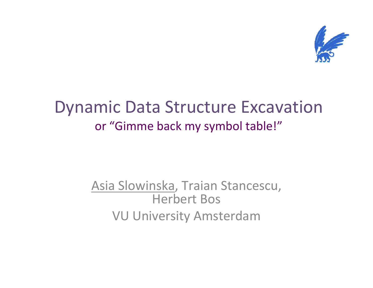

### Dynamic Data Structure Excavationor "Gimme back my symbol table!"

#### Asia Slowinska, Traian Stancescu, Herbert BosVU University Amsterdam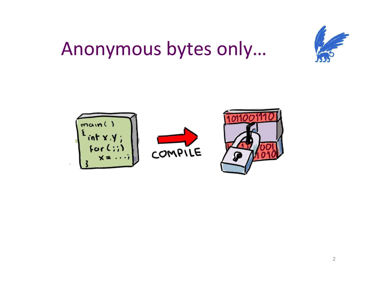

## Anonymous bytes only...

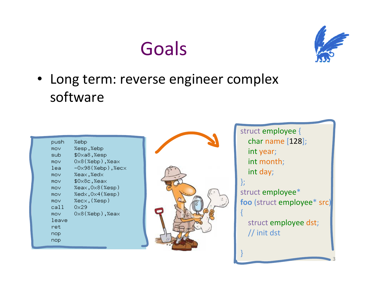## Goals



3

• Long term: reverse engineer complex software

| push       | %ebp                             |
|------------|----------------------------------|
| mov        | %esp,%ebp                        |
| sub.       | \$Oxa8,%esp                      |
| mov        | $0\times8$ (%ebp),%ea $\times$   |
| lea        | $-0\times98$ (%ebp),%ec $\times$ |
| mov        | %eax,%edx                        |
| mov.       | %eax, \$0x8c                     |
| mov.       | %eax,0x8(%esp)                   |
| <b>MOV</b> | %edx,0x4(%esp)                   |
| mov        | %ecx,(%esp)                      |
| call       | 0×29                             |
| mov        | $0\times8$ (%ebp),%ea $\times$   |
| leave      |                                  |
| ret        |                                  |
| nop        |                                  |
| nop        |                                  |
|            |                                  |



struct employee { char name [128]; int year; int month; int day; };struct employee\* foo (struct employee\* src) {struct employee dst; // init dst }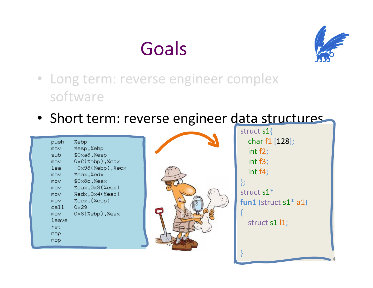



- Long term: reverse engineer complex software
- Short term: reverse engineer data structures

| push  | %ebp                             |
|-------|----------------------------------|
| mov   | %esp,%ebp                        |
| sub   | \$0xa8,%esp                      |
| mov   | $0\times8$ (%ebp),%ea $\times$   |
| lea   | $-0\times98$ (%ebp),%ec $\times$ |
| mov   | %eax,%edx                        |
| mov   | \$0x8c,%eax                      |
| mov   | %eax,0x8(%esp)                   |
| mov   | %edx,0x4(%esp)                   |
| mov   | %ecx,(%esp)                      |
| call  | 0×29                             |
| mov   | $0\times8$ (%ebp),%ea $\times$   |
| leave |                                  |
| ret   |                                  |
| nop   |                                  |
| nop   |                                  |
|       |                                  |



struct s1{ char f1 [128]; int f2; int f3; int f4; };struct s $1^\ast$ fun1 (struct s $1^*$  a $1$ ) {struct s1 l1; }4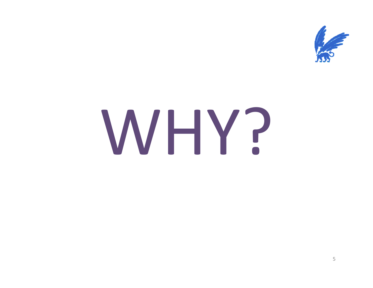

# WHY?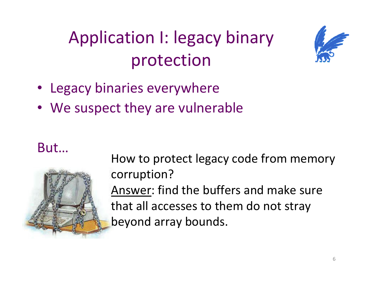## Application I: legacy binary protection



- Legacy binaries everywhere
- •We suspect they are vulnerable

#### But…



How to protect legacy code from memory corruption?Answer: find the buffers and make sure that all accesses to them do not stray beyond array bounds.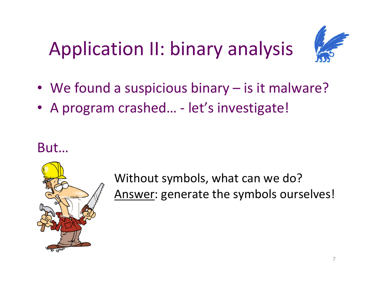## Application II: binary analysis



- We found a suspicious binary is it malware?
- A program crashed… let's investigate!

But…



Without symbols, what can we do?Answer: generate the symbols ourselves!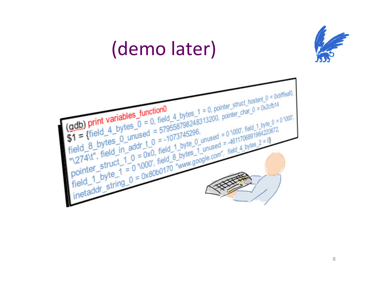

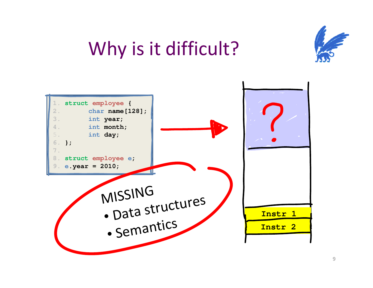

## Why is it difficult?

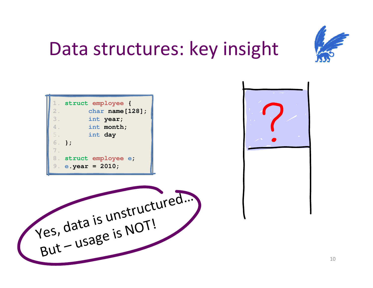

## Data structures: key insight

|    | 1. struct employee {  |
|----|-----------------------|
| 2. | char $name[128]$ ;    |
| 3. | int year;             |
| 4. | int month;            |
| 5. | int day               |
|    | $6.$ };               |
| 7. |                       |
|    | 8. struct employee e; |
|    | 9. e.year = $2010$ ;  |



Yes , data isunstru ctured…But –usage isNOT!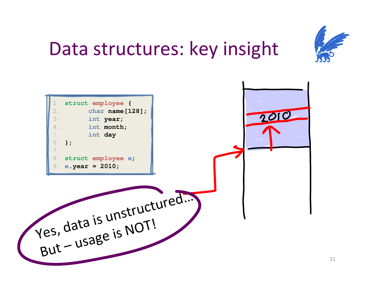

## Data structures: key insight

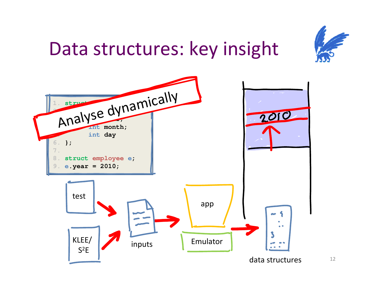

## Data structures: key insight

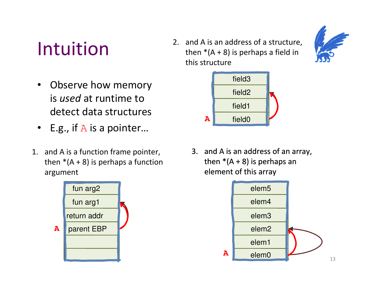## Intuition

- $\bullet$  Observe how memory is *used* at runtime to detect data structures
- E.g., if  $\mathbb A$  is a pointer...
- 1. and A is a function frame pointer, then  $*(A + 8)$  is perhaps a function argument



2. and A is an address of a structure, then  $*(A + 8)$  is perhaps a field in this structure





3. and A is an address of an array, then  $*(A + 8)$  is perhaps an element of this array

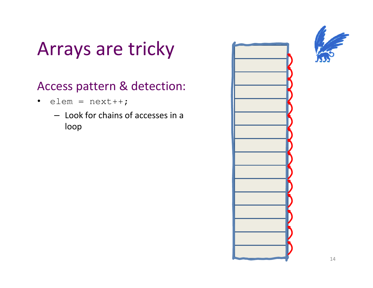## Arrays are tricky

#### Access pattern & detection:

- $\bullet$  elem = next++;
	- Look for chains of accesses in a loop

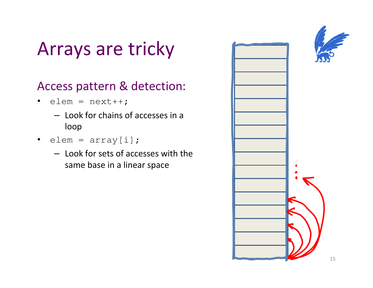## Arrays are tricky

#### Access pattern & detection:

- elem =  $next++;$ 
	- Look for chains of accesses in a loop
- elem =  $\texttt{array[i]}$ ;
	- Look for sets of accesses with the same base in a linear space

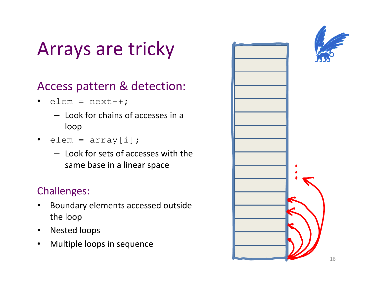## Arrays are tricky

#### Access pattern & detection:

- elem =  $next++;$ 
	- Look for chains of accesses in a loop
- $\bullet$ elem =  $array[i];$ 
	- Look for sets of accesses with the same base in a linear space

#### Challenges:

- $\bullet$  Boundary elements accessed outside the loop
- $\bullet$ Nested loops
- $\bullet$ Multiple loops in sequence

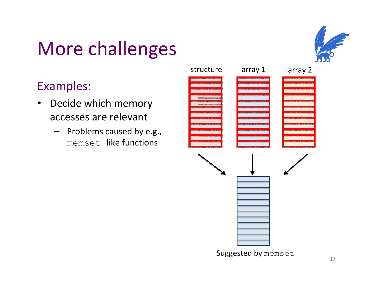## More challenges

#### Examples:

- $\bullet$  Decide which memory accesses are relevant
	- Problems caused by e.g., memset-like functions



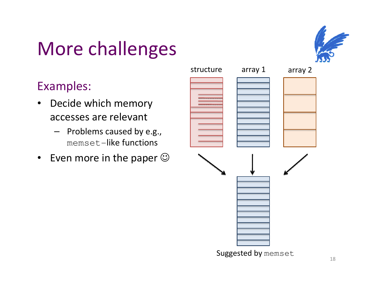## More challenges



#### Examples:

- • Decide which memory accesses are relevant
	- Problems caused by e.g., memset-like functions
- $\bullet$ • Even more in the paper  $\odot$

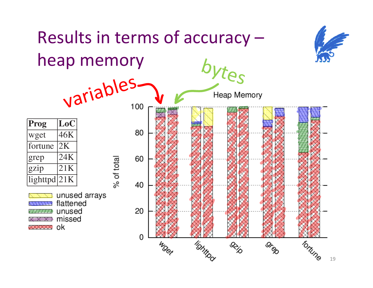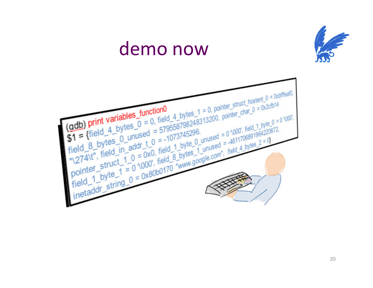## demo now